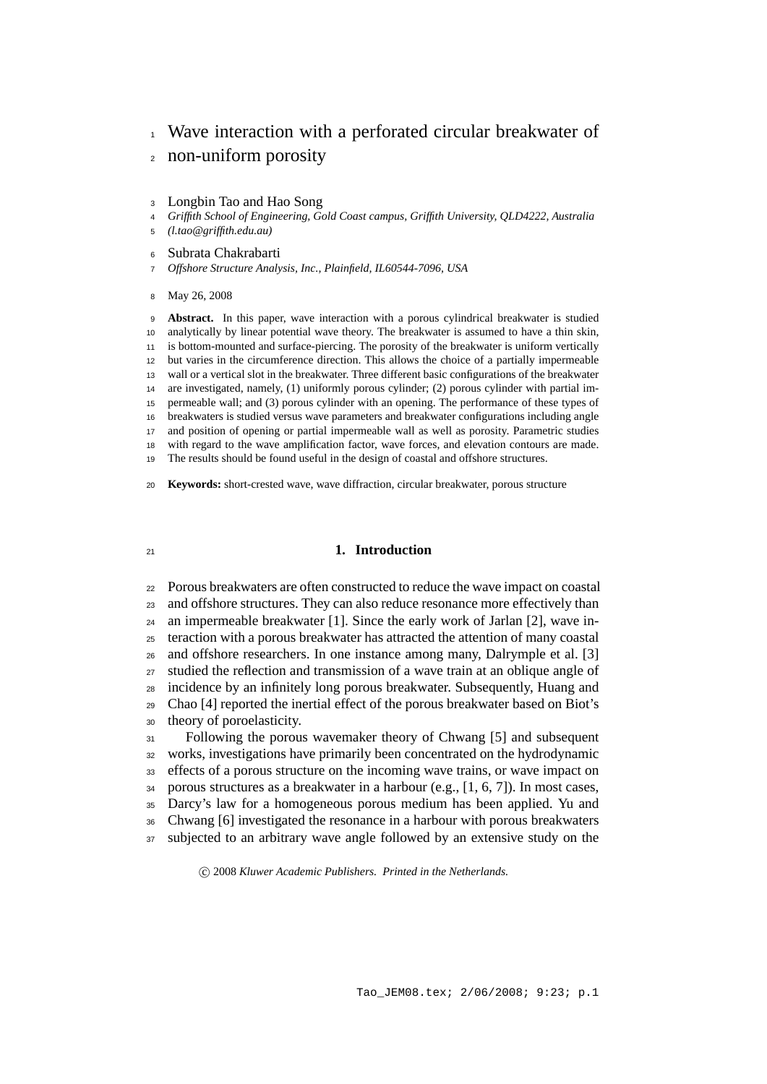# Wave interaction with a perforated circular breakwater of

# non-uniform porosity

Longbin Tao and Hao Song

*Griffith School of Engineering, Gold Coast campus, Griffith University, QLD4222, Australia*

- *(l.tao@griffith.edu.au)*
- Subrata Chakrabarti

*Offshore Structure Analysis, Inc., Plainfield, IL60544-7096, USA*

May 26, 2008

 **Abstract.** In this paper, wave interaction with a porous cylindrical breakwater is studied analytically by linear potential wave theory. The breakwater is assumed to have a thin skin, is bottom-mounted and surface-piercing. The porosity of the breakwater is uniform vertically but varies in the circumference direction. This allows the choice of a partially impermeable wall or a vertical slot in the breakwater. Three different basic configurations of the breakwater are investigated, namely, (1) uniformly porous cylinder; (2) porous cylinder with partial im- permeable wall; and (3) porous cylinder with an opening. The performance of these types of breakwaters is studied versus wave parameters and breakwater configurations including angle and position of opening or partial impermeable wall as well as porosity. Parametric studies with regard to the wave amplification factor, wave forces, and elevation contours are made. The results should be found useful in the design of coastal and offshore structures. **Keywords:** short-crested wave, wave diffraction, circular breakwater, porous structure

## **1. Introduction**

 Porous breakwaters are often constructed to reduce the wave impact on coastal and offshore structures. They can also reduce resonance more effectively than an impermeable breakwater [1]. Since the early work of Jarlan [2], wave in- teraction with a porous breakwater has attracted the attention of many coastal and offshore researchers. In one instance among many, Dalrymple et al. [3] studied the reflection and transmission of a wave train at an oblique angle of incidence by an infinitely long porous breakwater. Subsequently, Huang and Chao [4] reported the inertial effect of the porous breakwater based on Biot's theory of poroelasticity.

 Following the porous wavemaker theory of Chwang [5] and subsequent works, investigations have primarily been concentrated on the hydrodynamic effects of a porous structure on the incoming wave trains, or wave impact on 34 porous structures as a breakwater in a harbour (e.g.,  $[1, 6, 7]$ ). In most cases, Darcy's law for a homogeneous porous medium has been applied. Yu and Chwang [6] investigated the resonance in a harbour with porous breakwaters subjected to an arbitrary wave angle followed by an extensive study on the

°c 2008 *Kluwer Academic Publishers. Printed in the Netherlands.*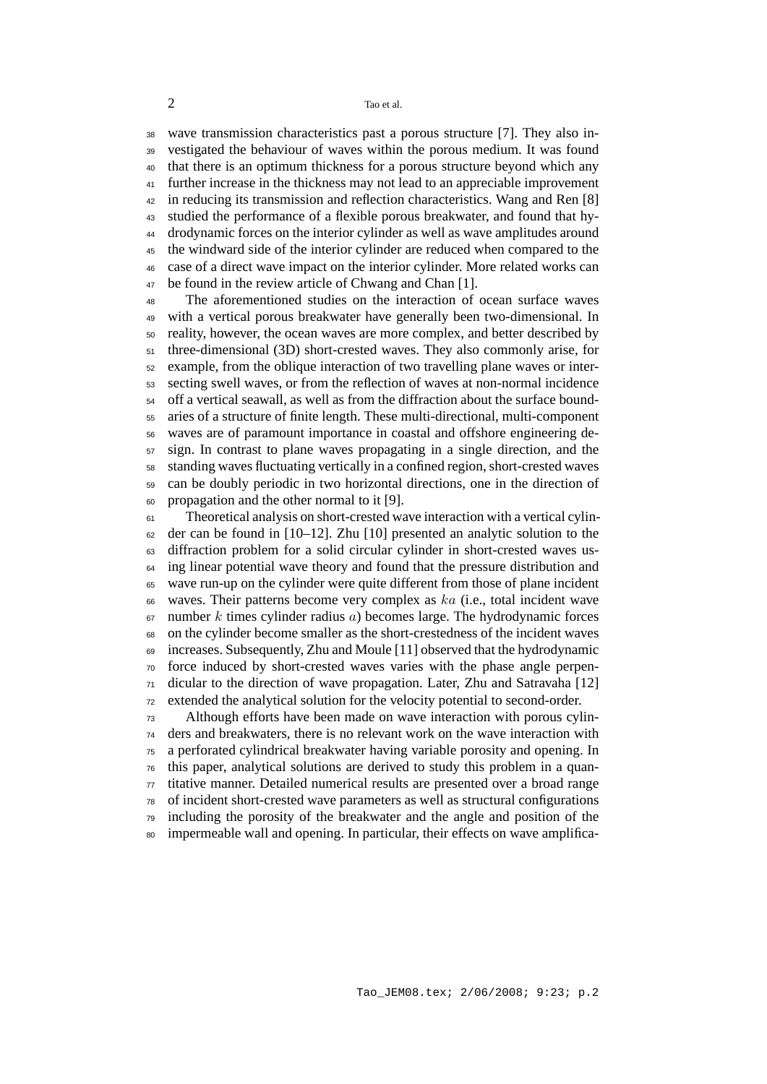wave transmission characteristics past a porous structure [7]. They also in- vestigated the behaviour of waves within the porous medium. It was found that there is an optimum thickness for a porous structure beyond which any further increase in the thickness may not lead to an appreciable improvement in reducing its transmission and reflection characteristics. Wang and Ren [8] studied the performance of a flexible porous breakwater, and found that hy- drodynamic forces on the interior cylinder as well as wave amplitudes around the windward side of the interior cylinder are reduced when compared to the case of a direct wave impact on the interior cylinder. More related works can be found in the review article of Chwang and Chan [1].

 The aforementioned studies on the interaction of ocean surface waves with a vertical porous breakwater have generally been two-dimensional. In reality, however, the ocean waves are more complex, and better described by three-dimensional (3D) short-crested waves. They also commonly arise, for example, from the oblique interaction of two travelling plane waves or inter- secting swell waves, or from the reflection of waves at non-normal incidence off a vertical seawall, as well as from the diffraction about the surface bound- aries of a structure of finite length. These multi-directional, multi-component waves are of paramount importance in coastal and offshore engineering de- sign. In contrast to plane waves propagating in a single direction, and the standing waves fluctuating vertically in a confined region, short-crested waves can be doubly periodic in two horizontal directions, one in the direction of propagation and the other normal to it [9].

 Theoretical analysis on short-crested wave interaction with a vertical cylin- der can be found in [10–12]. Zhu [10] presented an analytic solution to the diffraction problem for a solid circular cylinder in short-crested waves us- ing linear potential wave theory and found that the pressure distribution and wave run-up on the cylinder were quite different from those of plane incident waves. Their patterns become very complex as ka (i.e., total incident wave number k times cylinder radius a) becomes large. The hydrodynamic forces on the cylinder become smaller as the short-crestedness of the incident waves increases. Subsequently, Zhu and Moule [11] observed that the hydrodynamic force induced by short-crested waves varies with the phase angle perpen- dicular to the direction of wave propagation. Later, Zhu and Satravaha [12] extended the analytical solution for the velocity potential to second-order.

 Although efforts have been made on wave interaction with porous cylin- ders and breakwaters, there is no relevant work on the wave interaction with a perforated cylindrical breakwater having variable porosity and opening. In this paper, analytical solutions are derived to study this problem in a quan- titative manner. Detailed numerical results are presented over a broad range of incident short-crested wave parameters as well as structural configurations including the porosity of the breakwater and the angle and position of the impermeable wall and opening. In particular, their effects on wave amplifica-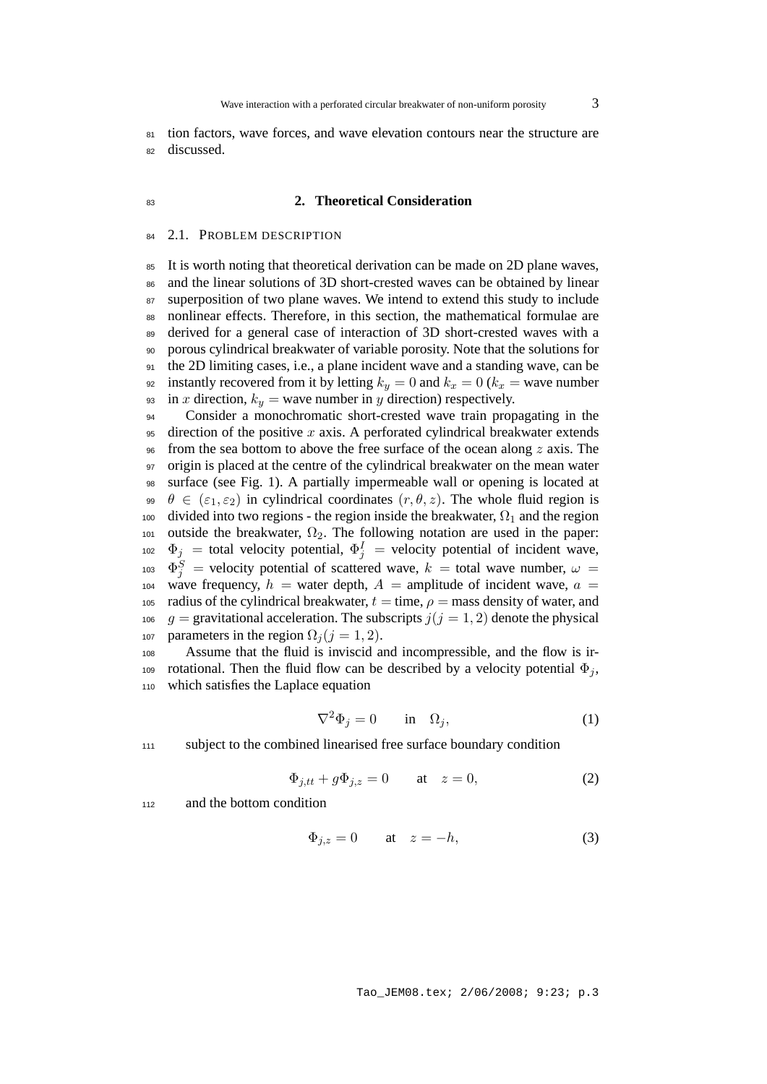<sup>81</sup> tion factors, wave forces, and wave elevation contours near the structure are <sup>82</sup> discussed.

#### <sup>83</sup> **2. Theoretical Consideration**

# 84 2.1. PROBLEM DESCRIPTION

 It is worth noting that theoretical derivation can be made on 2D plane waves, and the linear solutions of 3D short-crested waves can be obtained by linear superposition of two plane waves. We intend to extend this study to include nonlinear effects. Therefore, in this section, the mathematical formulae are derived for a general case of interaction of 3D short-crested waves with a porous cylindrical breakwater of variable porosity. Note that the solutions for the 2D limiting cases, i.e., a plane incident wave and a standing wave, can be 92 instantly recovered from it by letting  $k_y = 0$  and  $k_x = 0$  ( $k_x =$  wave number 93 in x direction,  $k_y$  = wave number in y direction) respectively.

<sup>94</sup> Consider a monochromatic short-crested wave train propagating in the  $95$  direction of the positive x axis. A perforated cylindrical breakwater extends  $96$  from the sea bottom to above the free surface of the ocean along z axis. The <sup>97</sup> origin is placed at the centre of the cylindrical breakwater on the mean water <sup>98</sup> surface (see Fig. 1). A partially impermeable wall or opening is located at 99  $\theta \in (\varepsilon_1, \varepsilon_2)$  in cylindrical coordinates  $(r, \theta, z)$ . The whole fluid region is 100 divided into two regions - the region inside the breakwater,  $\Omega_1$  and the region 101 outside the breakwater,  $\Omega_2$ . The following notation are used in the paper: 102  $\Phi_j$  = total velocity potential,  $\Phi_j^I$  = velocity potential of incident wave, 103  $\Phi_j^S$  = velocity potential of scattered wave,  $k =$  total wave number,  $\omega =$ 104 wave frequency,  $h =$  water depth,  $A =$  amplitude of incident wave,  $a =$ 105 radius of the cylindrical breakwater,  $t = \text{time}$ ,  $\rho = \text{mass density of water}$ , and 106 g = gravitational acceleration. The subscripts  $j(j = 1, 2)$  denote the physical 107 parameters in the region  $\Omega_i$  ( $j = 1, 2$ ).

<sup>108</sup> Assume that the fluid is inviscid and incompressible, and the flow is ir-109 rotational. Then the fluid flow can be described by a velocity potential  $\Phi_i$ , <sup>110</sup> which satisfies the Laplace equation

$$
\nabla^2 \Phi_j = 0 \qquad \text{in} \quad \Omega_j,\tag{1}
$$

<sup>111</sup> subject to the combined linearised free surface boundary condition

$$
\Phi_{j,tt} + g\Phi_{j,z} = 0 \quad \text{at} \quad z = 0,\tag{2}
$$

<sup>112</sup> and the bottom condition

$$
\Phi_{j,z} = 0 \qquad \text{at} \quad z = -h,\tag{3}
$$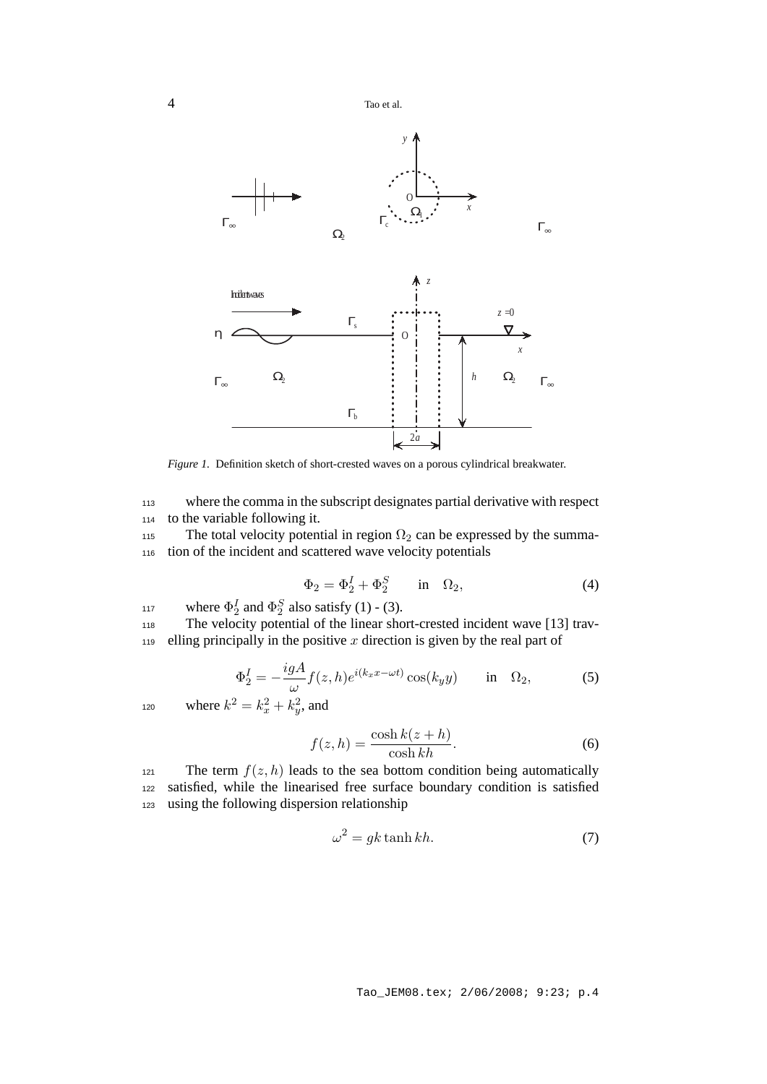

*Figure 1.* Definition sketch of short-crested waves on a porous cylindrical breakwater.

<sup>113</sup> where the comma in the subscript designates partial derivative with respect <sup>114</sup> to the variable following it.

115 The total velocity potential in region  $\Omega_2$  can be expressed by the summa-<sup>116</sup> tion of the incident and scattered wave velocity potentials

$$
\Phi_2 = \Phi_2^I + \Phi_2^S \qquad \text{in} \quad \Omega_2,\tag{4}
$$

117 where  $\Phi_2^I$  and  $\Phi_2^S$  also satisfy (1) - (3).

<sup>118</sup> The velocity potential of the linear short-crested incident wave [13] trav- $119$  elling principally in the positive x direction is given by the real part of

$$
\Phi_2^I = -\frac{igA}{\omega} f(z, h) e^{i(k_x x - \omega t)} \cos(k_y y) \quad \text{in} \quad \Omega_2,\tag{5}
$$

120 where  $k^2 = k_x^2 + k_y^2$ , and

$$
f(z,h) = \frac{\cosh k(z+h)}{\cosh kh}.
$$
 (6)

121 The term  $f(z, h)$  leads to the sea bottom condition being automatically <sup>122</sup> satisfied, while the linearised free surface boundary condition is satisfied <sup>123</sup> using the following dispersion relationship

$$
\omega^2 = gk \tanh kh. \tag{7}
$$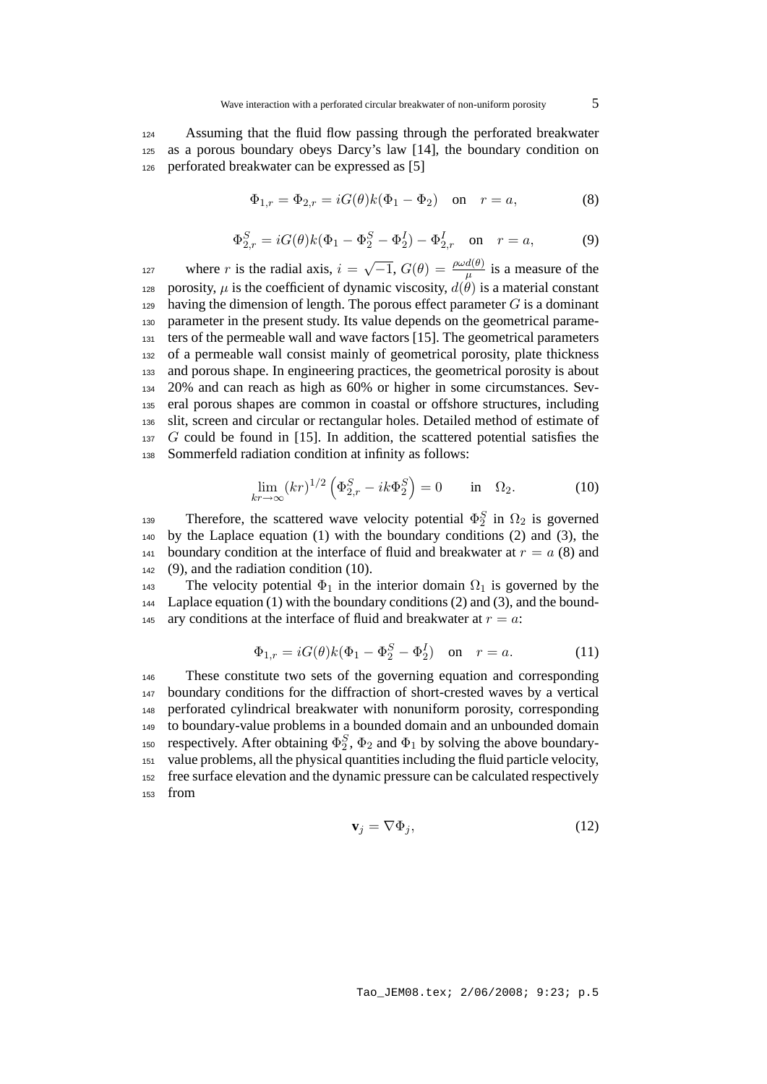<sup>124</sup> Assuming that the fluid flow passing through the perforated breakwater <sup>125</sup> as a porous boundary obeys Darcy's law [14], the boundary condition on <sup>126</sup> perforated breakwater can be expressed as [5]

$$
\Phi_{1,r} = \Phi_{2,r} = iG(\theta)k(\Phi_1 - \Phi_2) \quad \text{on} \quad r = a,\tag{8}
$$

$$
\Phi_{2,r}^S = iG(\theta)k(\Phi_1 - \Phi_2^S - \Phi_2^I) - \Phi_{2,r}^I \quad \text{on} \quad r = a,\tag{9}
$$

where r is the radial axis,  $i =$ where r is the radial axis,  $i = \sqrt{-1}$ ,  $G(\theta) = \frac{\rho \omega d(\theta)}{\mu}$  is a measure of the 128 porosity,  $\mu$  is the coefficient of dynamic viscosity,  $d(\theta)$  is a material constant 129 having the dimension of length. The porous effect parameter  $G$  is a dominant parameter in the present study. Its value depends on the geometrical parame- ters of the permeable wall and wave factors [15]. The geometrical parameters of a permeable wall consist mainly of geometrical porosity, plate thickness and porous shape. In engineering practices, the geometrical porosity is about 20% and can reach as high as 60% or higher in some circumstances. Sev- eral porous shapes are common in coastal or offshore structures, including slit, screen and circular or rectangular holes. Detailed method of estimate of G could be found in [15]. In addition, the scattered potential satisfies the Sommerfeld radiation condition at infinity as follows:

$$
\lim_{kr \to \infty} (kr)^{1/2} \left( \Phi_{2,r}^S - ik\Phi_2^S \right) = 0 \quad \text{in} \quad \Omega_2. \tag{10}
$$

Therefore, the scattered wave velocity potential  $\Phi_2^S$  in  $\Omega_2$  is governed <sup>140</sup> by the Laplace equation (1) with the boundary conditions (2) and (3), the 141 boundary condition at the interface of fluid and breakwater at  $r = a(8)$  and <sup>142</sup> (9), and the radiation condition (10).

143 The velocity potential  $\Phi_1$  in the interior domain  $\Omega_1$  is governed by the <sup>144</sup> Laplace equation (1) with the boundary conditions (2) and (3), and the bound-145 ary conditions at the interface of fluid and breakwater at  $r = a$ :

$$
\Phi_{1,r} = iG(\theta)k(\Phi_1 - \Phi_2^S - \Phi_2^I) \quad \text{on} \quad r = a. \tag{11}
$$

 These constitute two sets of the governing equation and corresponding boundary conditions for the diffraction of short-crested waves by a vertical perforated cylindrical breakwater with nonuniform porosity, corresponding to boundary-value problems in a bounded domain and an unbounded domain 150 respectively. After obtaining  $\Phi_2^S$ ,  $\Phi_2$  and  $\Phi_1$  by solving the above boundary- value problems, all the physical quantities including the fluid particle velocity, free surface elevation and the dynamic pressure can be calculated respectively <sup>153</sup> from

$$
\mathbf{v}_j = \nabla \Phi_j,\tag{12}
$$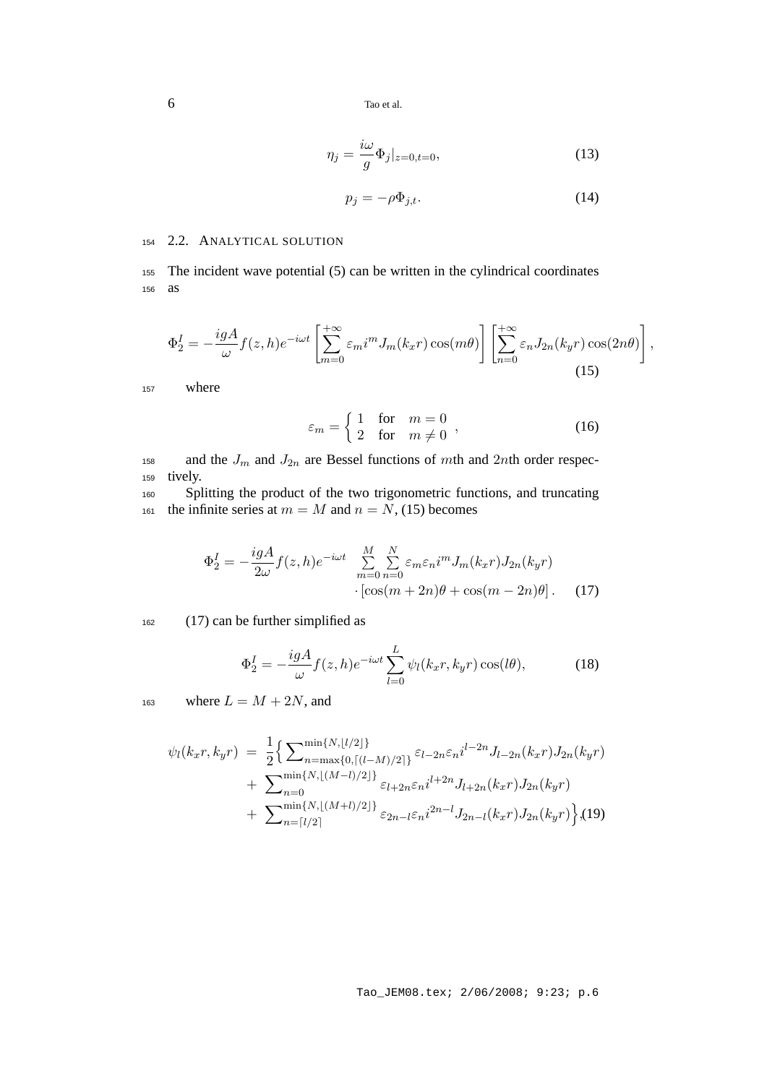$$
\eta_j = \frac{i\omega}{g} \Phi_j|_{z=0, t=0},\tag{13}
$$

$$
p_j = -\rho \Phi_{j,t}.\tag{14}
$$

# <sup>154</sup> 2.2. ANALYTICAL SOLUTION

<sup>155</sup> The incident wave potential (5) can be written in the cylindrical coordinates <sup>156</sup> as

$$
\Phi_2^I = -\frac{igA}{\omega} f(z, h) e^{-i\omega t} \left[ \sum_{m=0}^{+\infty} \varepsilon_m i^m J_m(k_x r) \cos(m\theta) \right] \left[ \sum_{n=0}^{+\infty} \varepsilon_n J_{2n}(k_y r) \cos(2n\theta) \right],
$$
\n(15)

<sup>157</sup> where

$$
\varepsilon_m = \begin{cases} 1 & \text{for} \quad m = 0 \\ 2 & \text{for} \quad m \neq 0 \end{cases} \tag{16}
$$

158 and the  $J_m$  and  $J_{2n}$  are Bessel functions of mth and 2nth order respec-<sup>159</sup> tively.

<sup>160</sup> Splitting the product of the two trigonometric functions, and truncating 161 the infinite series at  $m = M$  and  $n = N$ , (15) becomes

$$
\Phi_2^I = -\frac{igA}{2\omega} f(z, h)e^{-i\omega t} \sum_{m=0}^M \sum_{n=0}^N \varepsilon_m \varepsilon_n i^m J_m(k_x r) J_{2n}(k_y r)
$$

$$
\cdot [\cos(m+2n)\theta + \cos(m-2n)\theta]. \tag{17}
$$

<sup>162</sup> (17) can be further simplified as

$$
\Phi_2^I = -\frac{igA}{\omega} f(z, h) e^{-i\omega t} \sum_{l=0}^L \psi_l(k_x r, k_y r) \cos(l\theta),\tag{18}
$$

163 where  $L = M + 2N$ , and

$$
\psi_l(k_x r, k_y r) = \frac{1}{2} \Big\{ \sum_{n=\max\{0, \lceil (l-M)/2 \rceil\}}^{\min\{N, \lfloor l/2 \rfloor\}} \varepsilon_{l-2n} \varepsilon_n i^{l-2n} J_{l-2n}(k_x r) J_{2n}(k_y r) + \sum_{n=0}^{\min\{N, \lfloor (M-l)/2 \rfloor\}} \varepsilon_{l+2n} \varepsilon_n i^{l+2n} J_{l+2n}(k_x r) J_{2n}(k_y r) + \sum_{n=\lceil l/2 \rceil}^{\min\{N, \lfloor (M+l)/2 \rfloor\}} \varepsilon_{2n-l} \varepsilon_n i^{2n-l} J_{2n-l}(k_x r) J_{2n}(k_y r) \Big\}, (19)
$$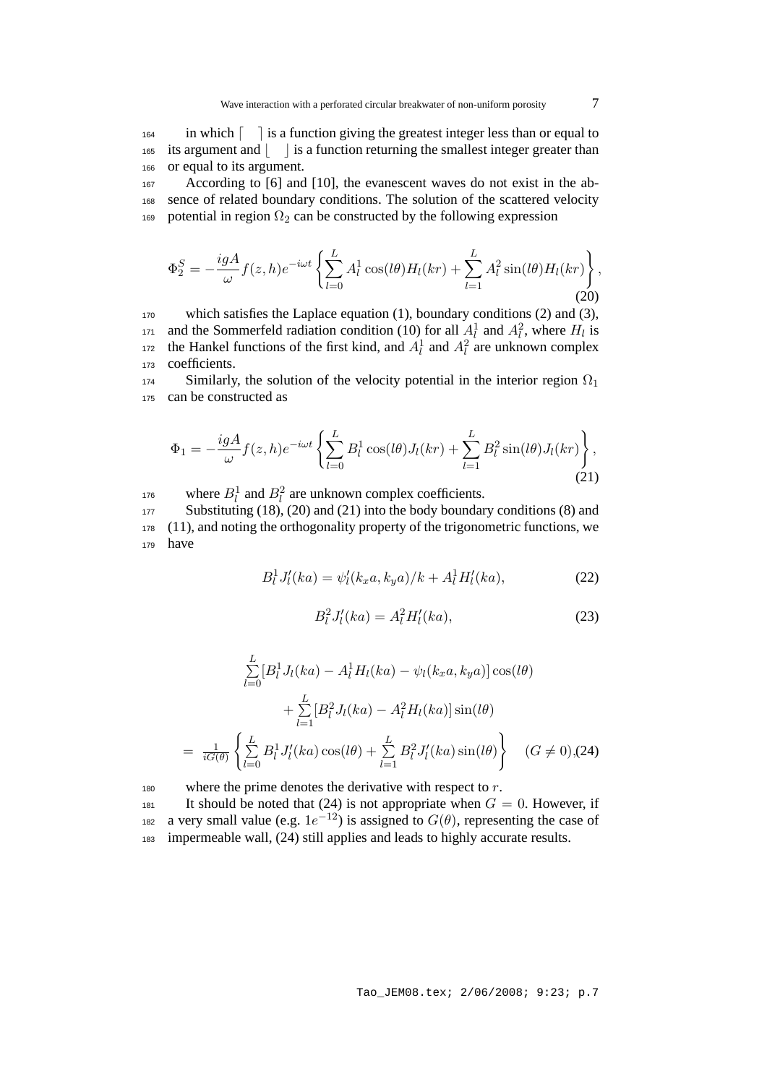164 in which  $\lceil \quad \rceil$  is a function giving the greatest integer less than or equal to  $165$  its argument and  $\vert \vert$  is a function returning the smallest integer greater than <sup>166</sup> or equal to its argument.

<sup>167</sup> According to [6] and [10], the evanescent waves do not exist in the ab-<sup>168</sup> sence of related boundary conditions. The solution of the scattered velocity 169 potential in region  $\Omega_2$  can be constructed by the following expression

$$
\Phi_2^S = -\frac{igA}{\omega} f(z, h) e^{-i\omega t} \left\{ \sum_{l=0}^L A_l^1 \cos(l\theta) H_l(kr) + \sum_{l=1}^L A_l^2 \sin(l\theta) H_l(kr) \right\},\tag{20}
$$

170 which satisfies the Laplace equation (1), boundary conditions (2) and (3), 171 and the Sommerfeld radiation condition (10) for all  $A_l^1$  and  $A_l^2$ , where  $H_l$  is 172 the Hankel functions of the first kind, and  $A_l^1$  and  $A_l^2$  are unknown complex <sup>173</sup> coefficients.

174 Similarly, the solution of the velocity potential in the interior region  $\Omega_1$ <sup>175</sup> can be constructed as

$$
\Phi_1 = -\frac{igA}{\omega} f(z, h)e^{-i\omega t} \left\{ \sum_{l=0}^L B_l^1 \cos(l\theta) J_l(kr) + \sum_{l=1}^L B_l^2 \sin(l\theta) J_l(kr) \right\},\tag{21}
$$

<sup>176</sup> where  $B_l^1$  and  $B_l^2$  are unknown complex coefficients.

177 Substituting (18), (20) and (21) into the body boundary conditions (8) and <sup>178</sup> (11), and noting the orthogonality property of the trigonometric functions, we <sup>179</sup> have

$$
B_l^1 J_l'(ka) = \psi_l'(k_x a, k_y a)/k + A_l^1 H_l'(ka), \qquad (22)
$$

$$
B_l^2 J_l'(ka) = A_l^2 H_l'(ka), \tag{23}
$$

$$
\sum_{l=0}^{L} [B_l^1 J_l(ka) - A_l^1 H_l(ka) - \psi_l(k_x a, k_y a)] \cos(l\theta)
$$

$$
+ \sum_{l=1}^{L} [B_l^2 J_l(ka) - A_l^2 H_l(ka)] \sin(l\theta)
$$

$$
= \frac{1}{iG(\theta)} \left\{ \sum_{l=0}^{L} B_l^1 J'_l(ka) \cos(l\theta) + \sum_{l=1}^{L} B_l^2 J'_l(ka) \sin(l\theta) \right\} \quad (G \neq 0), (24)
$$

 $180$  where the prime denotes the derivative with respect to r.

181 It should be noted that (24) is not appropriate when  $G = 0$ . However, if 182 a very small value (e.g.  $1e^{-12}$ ) is assigned to  $G(\theta)$ , representing the case of <sup>183</sup> impermeable wall, (24) still applies and leads to highly accurate results.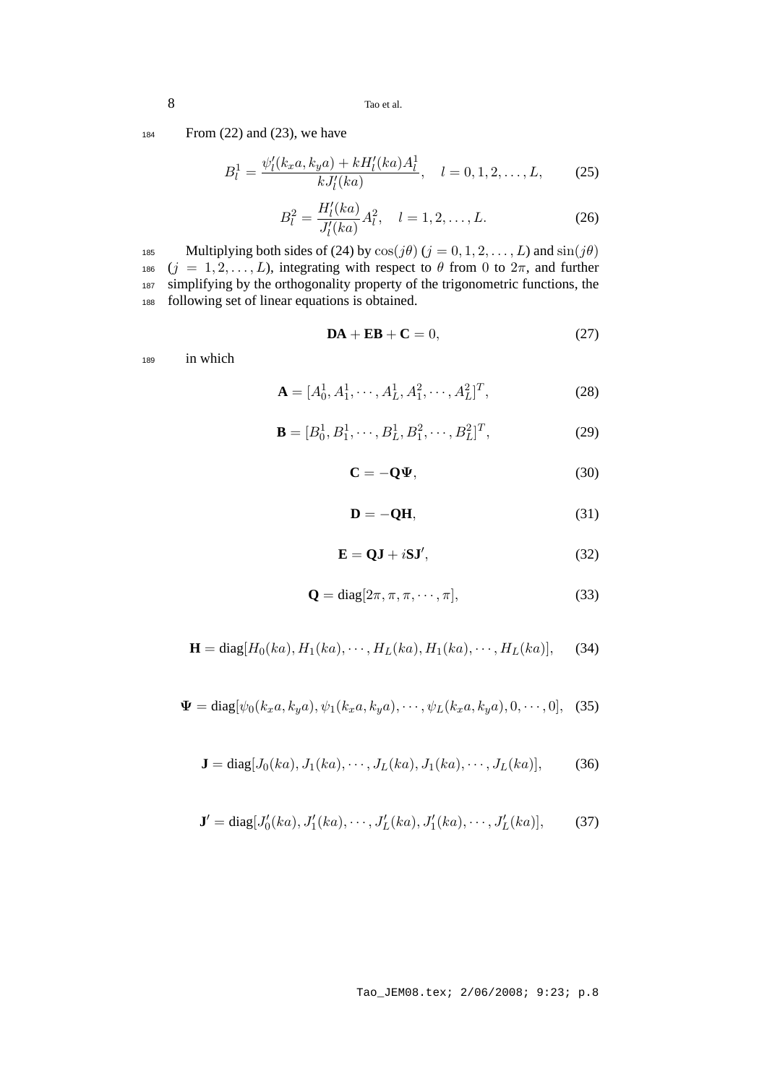<sup>184</sup> From (22) and (23), we have

$$
B_l^1 = \frac{\psi_l'(k_x a, k_y a) + k H_l'(ka) A_l^1}{k J_l'(ka)}, \quad l = 0, 1, 2, \dots, L,
$$
 (25)

$$
B_l^2 = \frac{H_l'(ka)}{J_l'(ka)} A_l^2, \quad l = 1, 2, \dots, L.
$$
 (26)

185 Multiplying both sides of (24) by  $cos(j\theta)$   $(j = 0, 1, 2, ..., L)$  and  $sin(j\theta)$ 186 (j = 1, 2, ..., L), integrating with respect to  $\theta$  from 0 to  $2\pi$ , and further <sup>187</sup> simplifying by the orthogonality property of the trigonometric functions, the <sup>188</sup> following set of linear equations is obtained.

$$
\mathbf{DA} + \mathbf{EB} + \mathbf{C} = 0,\tag{27}
$$

<sup>189</sup> in which

$$
\mathbf{A} = [A_0^1, A_1^1, \cdots, A_L^1, A_1^2, \cdots, A_L^2]^T, \tag{28}
$$

$$
\mathbf{B} = [B_0^1, B_1^1, \cdots, B_L^1, B_1^2, \cdots, B_L^2]^T, \tag{29}
$$

$$
\mathbf{C} = -\mathbf{Q}\Psi,\tag{30}
$$

$$
\mathbf{D} = -\mathbf{Q}\mathbf{H},\tag{31}
$$

$$
\mathbf{E} = \mathbf{Q}\mathbf{J} + i\mathbf{S}\mathbf{J}',\tag{32}
$$

$$
\mathbf{Q} = \text{diag}[2\pi, \pi, \pi, \cdots, \pi],\tag{33}
$$

$$
\mathbf{H} = \text{diag}[H_0(ka), H_1(ka), \cdots, H_L(ka), H_1(ka), \cdots, H_L(ka)], \quad (34)
$$

$$
\Psi = \text{diag}[\psi_0(k_x a, k_y a), \psi_1(k_x a, k_y a), \cdots, \psi_L(k_x a, k_y a), 0, \cdots, 0], \quad (35)
$$

$$
\mathbf{J} = \text{diag}[J_0(ka), J_1(ka), \cdots, J_L(ka), J_1(ka), \cdots, J_L(ka)], \tag{36}
$$

$$
\mathbf{J}' = \text{diag}[J'_0(ka), J'_1(ka), \cdots, J'_L(ka), J'_1(ka), \cdots, J'_L(ka)],\tag{37}
$$

Tao\_JEM08.tex; 2/06/2008; 9:23; p.8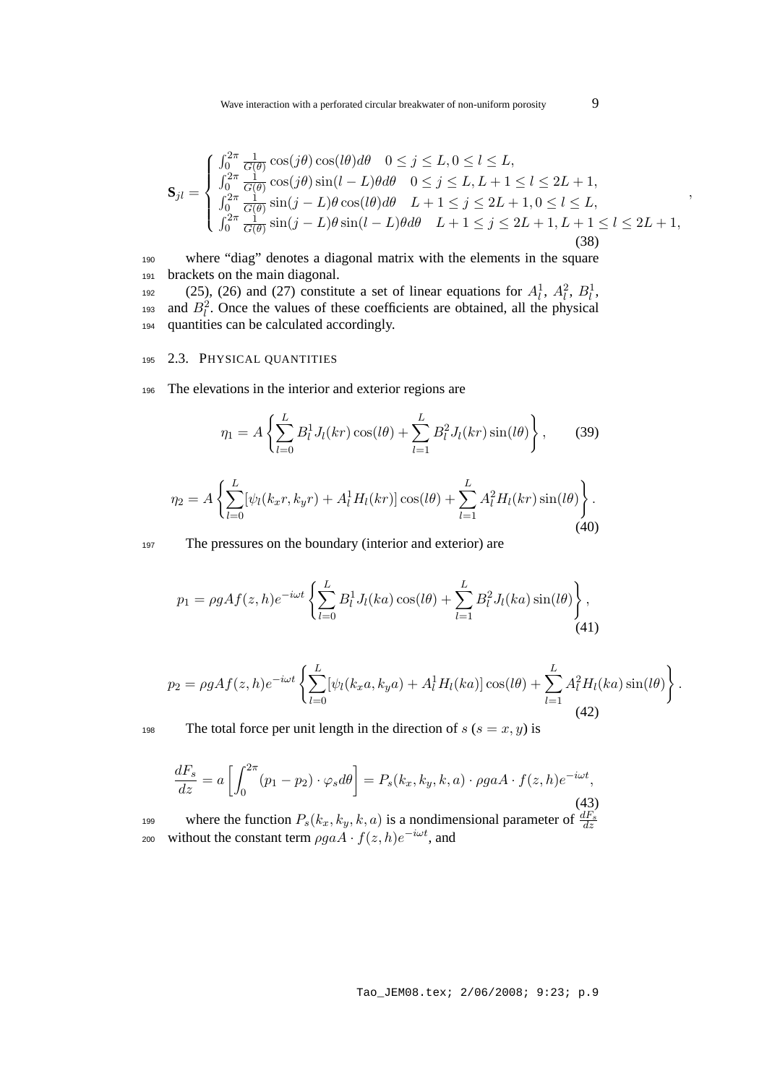$$
\mathbf{S}_{jl} = \begin{cases} \int_0^{2\pi} \frac{1}{G(\theta)} \cos(j\theta) \cos(l\theta) d\theta & 0 \le j \le L, 0 \le l \le L, \\ \int_0^{2\pi} \frac{1}{G(\theta)} \cos(j\theta) \sin(l - L) \theta d\theta & 0 \le j \le L, L + 1 \le l \le 2L + 1, \\ \int_0^{2\pi} \frac{1}{G(\theta)} \sin(j - L) \theta \cos(l\theta) d\theta & L + 1 \le j \le 2L + 1, 0 \le l \le L, \\ \int_0^{2\pi} \frac{1}{G(\theta)} \sin(j - L) \theta \sin(l - L) \theta d\theta & L + 1 \le j \le 2L + 1, L + 1 \le l \le 2L + 1, \end{cases}
$$
\n(38)

<sup>190</sup> where "diag" denotes a diagonal matrix with the elements in the square <sup>191</sup> brackets on the main diagonal.

192 (25), (26) and (27) constitute a set of linear equations for  $A_l^1$ ,  $A_l^2$ ,  $B_l^1$ , 193 and  $B_l^2$ . Once the values of these coefficients are obtained, all the physical <sup>194</sup> quantities can be calculated accordingly.

# <sup>195</sup> 2.3. PHYSICAL QUANTITIES

<sup>196</sup> The elevations in the interior and exterior regions are

$$
\eta_1 = A \left\{ \sum_{l=0}^{L} B_l^1 J_l(kr) \cos(l\theta) + \sum_{l=1}^{L} B_l^2 J_l(kr) \sin(l\theta) \right\},\qquad(39)
$$

$$
\eta_2 = A \left\{ \sum_{l=0}^{L} [\psi_l(k_x r, k_y r) + A_l^1 H_l(kr)] \cos(l\theta) + \sum_{l=1}^{L} A_l^2 H_l(kr) \sin(l\theta) \right\}.
$$
\n(40)

<sup>197</sup> The pressures on the boundary (interior and exterior) are

$$
p_1 = \rho g A f(z, h) e^{-i\omega t} \left\{ \sum_{l=0}^{L} B_l^1 J_l(ka) \cos(l\theta) + \sum_{l=1}^{L} B_l^2 J_l(ka) \sin(l\theta) \right\},\tag{41}
$$

$$
p_2 = \rho g A f(z, h) e^{-i\omega t} \left\{ \sum_{l=0}^{L} [\psi_l(k_x a, k_y a) + A_l^1 H_l(ka)] \cos(l\theta) + \sum_{l=1}^{L} A_l^2 H_l(ka) \sin(l\theta) \right\}.
$$
\n(42)

198 The total force per unit length in the direction of  $s$  ( $s = x, y$ ) is

$$
\frac{dF_s}{dz} = a \left[ \int_0^{2\pi} (p_1 - p_2) \cdot \varphi_s d\theta \right] = P_s(k_x, k_y, k, a) \cdot \rho g a A \cdot f(z, h) e^{-i\omega t},\tag{43}
$$

where the function  $P_s(k_x, k_y, k, a)$  is a nondimensional parameter of  $\frac{dF_s}{dz}$ 200 without the constant term  $\rho g a A \cdot f(z, h) e^{-i\omega t}$ , and

Tao\_JEM08.tex; 2/06/2008; 9:23; p.9

,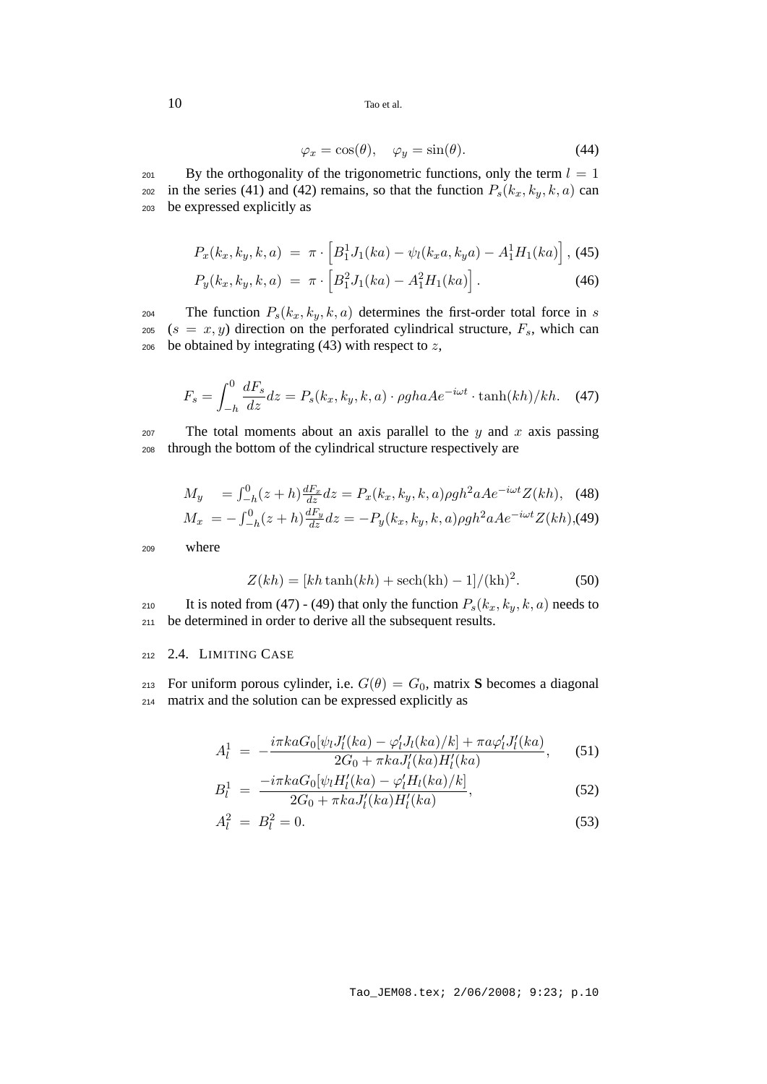$$
\varphi_x = \cos(\theta), \quad \varphi_y = \sin(\theta). \tag{44}
$$

201 By the orthogonality of the trigonometric functions, only the term  $l = 1$ 202 in the series (41) and (42) remains, so that the function  $P_s(k_x, k_y, k, a)$  can <sup>203</sup> be expressed explicitly as

$$
P_x(k_x, k_y, k, a) = \pi \cdot \left[ B_1^1 J_1(ka) - \psi_l(k_x a, k_y a) - A_1^1 H_1(ka) \right],
$$
 (45)

$$
P_y(k_x, k_y, k, a) = \pi \cdot \left[ B_1^2 J_1(ka) - A_1^2 H_1(ka) \right]. \tag{46}
$$

204 The function  $P_s(k_x, k_y, k, a)$  determines the first-order total force in s  $205$  ( $s = x, y$ ) direction on the perforated cylindrical structure,  $F_s$ , which can 206 be obtained by integrating (43) with respect to z,

$$
F_s = \int_{-h}^{0} \frac{dF_s}{dz} dz = P_s(k_x, k_y, k, a) \cdot \rho g h a A e^{-i\omega t} \cdot \tanh(kh)/kh. \tag{47}
$$

 $207$  The total moments about an axis parallel to the y and x axis passing <sup>208</sup> through the bottom of the cylindrical structure respectively are

$$
M_y = \int_{-h}^{0} (z+h) \frac{dF_x}{dz} dz = P_x(k_x, k_y, k, a) \rho g h^2 a A e^{-i\omega t} Z(kh), \quad (48)
$$
  

$$
M_x = -\int_{-h}^{0} (z+h) \frac{dF_y}{dz} dz = -P_y(k_x, k_y, k, a) \rho g h^2 a A e^{-i\omega t} Z(kh), (49)
$$

<sup>209</sup> where

$$
Z(kh) = [kh \tanh(kh) + \text{sech}(kh) - 1]/(kh)^{2}.
$$
 (50)

210 It is noted from (47) - (49) that only the function  $P_s(k_x, k_y, k, a)$  needs to <sup>211</sup> be determined in order to derive all the subsequent results.

<sup>212</sup> 2.4. LIMITING CASE

213 For uniform porous cylinder, i.e.  $G(\theta) = G_0$ , matrix **S** becomes a diagonal <sup>214</sup> matrix and the solution can be expressed explicitly as

$$
A_l^1 = -\frac{i\pi kaG_0[\psi_l J_l'(ka) - \varphi_l' J_l(ka)/k] + \pi a\varphi_l' J_l'(ka)}{2G_0 + \pi kaJ_l'(ka)H_l'(ka)},
$$
(51)

$$
B_l^1 = \frac{-i\pi kaG_0[\psi_l H_l'(ka) - \varphi_l' H_l(ka)/k]}{2G_0 + \pi kaJ_l'(ka)H_l'(ka)},
$$
\n(52)

$$
A_l^2 = B_l^2 = 0.
$$
\n(53)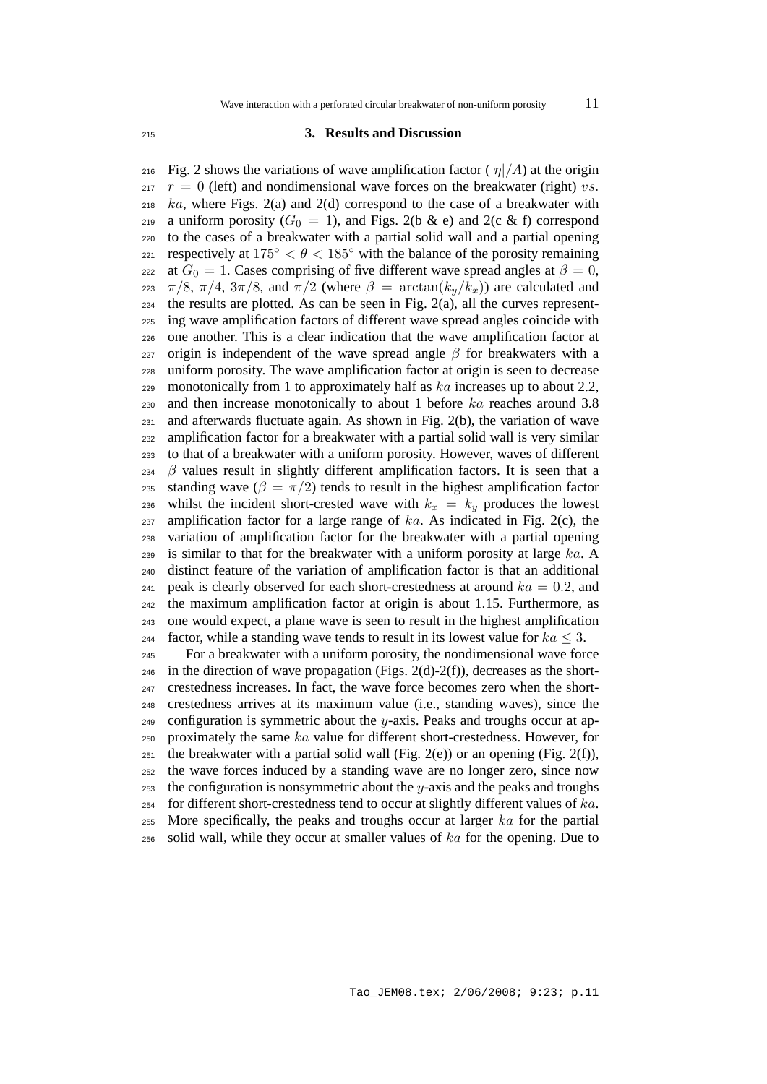# **3. Results and Discussion**

216 Fig. 2 shows the variations of wave amplification factor  $(|n|/A)$  at the origin  $217 \t r = 0$  (left) and nondimensional wave forces on the breakwater (right) vs. ka, where Figs. 2(a) and 2(d) correspond to the case of a breakwater with 219 a uniform porosity  $(G_0 = 1)$ , and Figs. 2(b & e) and 2(c & f) correspond to the cases of a breakwater with a partial solid wall and a partial opening extractively at  $175^{\circ} < \theta < 185^{\circ}$  with the balance of the porosity remaining 222 at  $G_0 = 1$ . Cases comprising of five different wave spread angles at  $\beta = 0$ ,  $\pi/8$ ,  $\pi/4$ ,  $3\pi/8$ , and  $\pi/2$  (where  $\beta = \arctan(k_y/k_x)$ ) are calculated and the results are plotted. As can be seen in Fig. 2(a), all the curves represent- ing wave amplification factors of different wave spread angles coincide with one another. This is a clear indication that the wave amplification factor at 227 origin is independent of the wave spread angle  $\beta$  for breakwaters with a uniform porosity. The wave amplification factor at origin is seen to decrease monotonically from 1 to approximately half as ka increases up to about 2.2, and then increase monotonically to about 1 before ka reaches around 3.8 and afterwards fluctuate again. As shown in Fig. 2(b), the variation of wave amplification factor for a breakwater with a partial solid wall is very similar to that of a breakwater with a uniform porosity. However, waves of different  $\beta$  values result in slightly different amplification factors. It is seen that a 235 standing wave ( $\beta = \pi/2$ ) tends to result in the highest amplification factor 236 whilst the incident short-crested wave with  $k_x = k_y$  produces the lowest amplification factor for a large range of ka. As indicated in Fig. 2(c), the variation of amplification factor for the breakwater with a partial opening is similar to that for the breakwater with a uniform porosity at large  $ka$ . A distinct feature of the variation of amplification factor is that an additional 241 peak is clearly observed for each short-crestedness at around  $ka = 0.2$ , and the maximum amplification factor at origin is about 1.15. Furthermore, as one would expect, a plane wave is seen to result in the highest amplification 244 factor, while a standing wave tends to result in its lowest value for  $ka \leq 3$ .

 For a breakwater with a uniform porosity, the nondimensional wave force  $_{246}$  in the direction of wave propagation (Figs. 2(d)-2(f)), decreases as the short- crestedness increases. In fact, the wave force becomes zero when the short- crestedness arrives at its maximum value (i.e., standing waves), since the configuration is symmetric about the y-axis. Peaks and troughs occur at ap- proximately the same ka value for different short-crestedness. However, for the breakwater with a partial solid wall (Fig. 2(e)) or an opening (Fig. 2(f)). the wave forces induced by a standing wave are no longer zero, since now the configuration is nonsymmetric about the y-axis and the peaks and troughs for different short-crestedness tend to occur at slightly different values of  $ka$ . More specifically, the peaks and troughs occur at larger ka for the partial solid wall, while they occur at smaller values of  $ka$  for the opening. Due to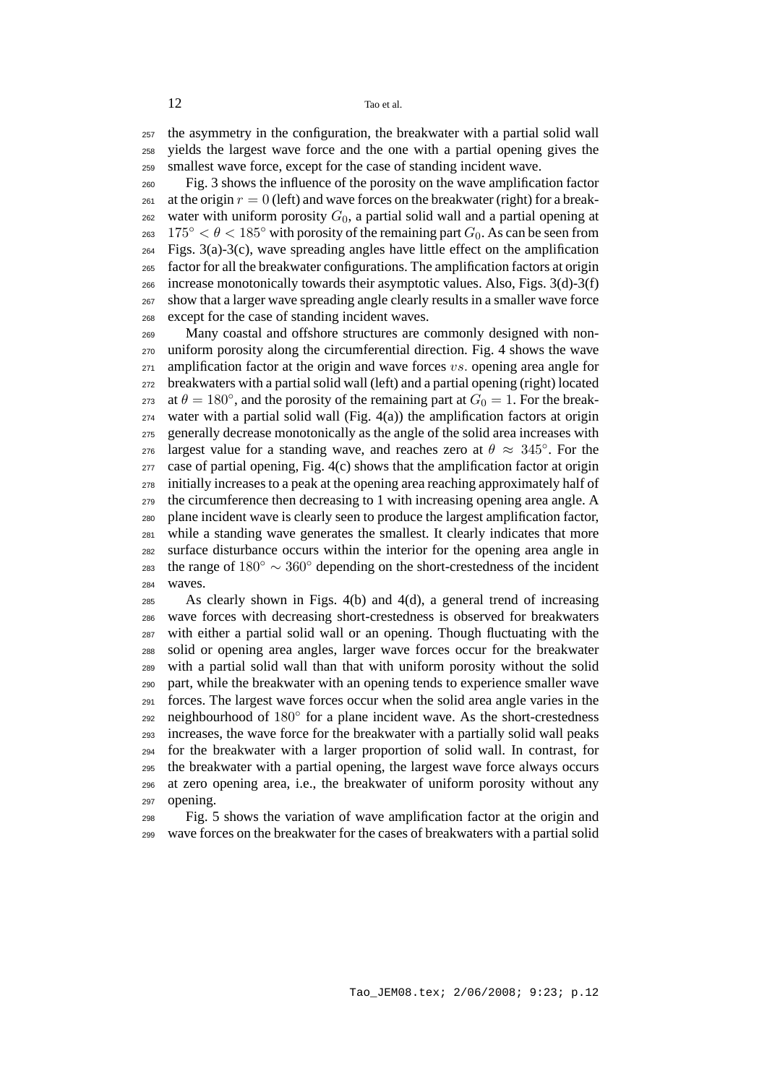the asymmetry in the configuration, the breakwater with a partial solid wall yields the largest wave force and the one with a partial opening gives the smallest wave force, except for the case of standing incident wave.

 Fig. 3 shows the influence of the porosity on the wave amplification factor 261 at the origin  $r = 0$  (left) and wave forces on the breakwater (right) for a break-262 water with uniform porosity  $G_0$ , a partial solid wall and a partial opening at 263 175°  $< \theta < 185$ ° with porosity of the remaining part  $G_0$ . As can be seen from Figs. 3(a)-3(c), wave spreading angles have little effect on the amplification factor for all the breakwater configurations. The amplification factors at origin increase monotonically towards their asymptotic values. Also, Figs. 3(d)-3(f) show that a larger wave spreading angle clearly results in a smaller wave force except for the case of standing incident waves.

 Many coastal and offshore structures are commonly designed with non- uniform porosity along the circumferential direction. Fig. 4 shows the wave amplification factor at the origin and wave forces vs. opening area angle for breakwaters with a partial solid wall (left) and a partial opening (right) located 273 at  $\theta = 180^\circ$ , and the porosity of the remaining part at  $G_0 = 1$ . For the break- water with a partial solid wall (Fig. 4(a)) the amplification factors at origin generally decrease monotonically as the angle of the solid area increases with 276 largest value for a standing wave, and reaches zero at  $\theta \approx 345^{\circ}$ . For the case of partial opening, Fig. 4(c) shows that the amplification factor at origin initially increases to a peak at the opening area reaching approximately half of the circumference then decreasing to 1 with increasing opening area angle. A plane incident wave is clearly seen to produce the largest amplification factor, while a standing wave generates the smallest. It clearly indicates that more surface disturbance occurs within the interior for the opening area angle in 283 the range of  $180^\circ \sim 360^\circ$  depending on the short-crestedness of the incident waves.

 As clearly shown in Figs. 4(b) and 4(d), a general trend of increasing wave forces with decreasing short-crestedness is observed for breakwaters with either a partial solid wall or an opening. Though fluctuating with the solid or opening area angles, larger wave forces occur for the breakwater with a partial solid wall than that with uniform porosity without the solid part, while the breakwater with an opening tends to experience smaller wave forces. The largest wave forces occur when the solid area angle varies in the 292 neighbourhood of 180° for a plane incident wave. As the short-crestedness increases, the wave force for the breakwater with a partially solid wall peaks for the breakwater with a larger proportion of solid wall. In contrast, for the breakwater with a partial opening, the largest wave force always occurs at zero opening area, i.e., the breakwater of uniform porosity without any opening.

 Fig. 5 shows the variation of wave amplification factor at the origin and wave forces on the breakwater for the cases of breakwaters with a partial solid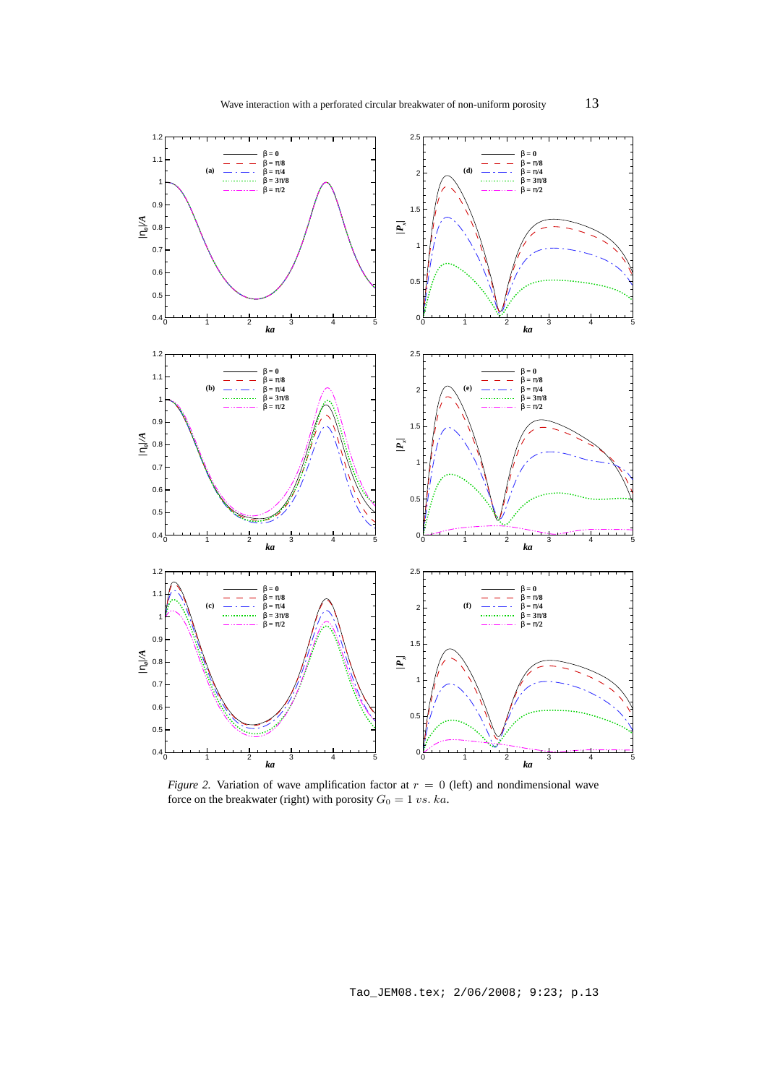

*Figure 2.* Variation of wave amplification factor at  $r = 0$  (left) and nondimensional wave force on the breakwater (right) with porosity  $G_0 = 1$  vs. ka.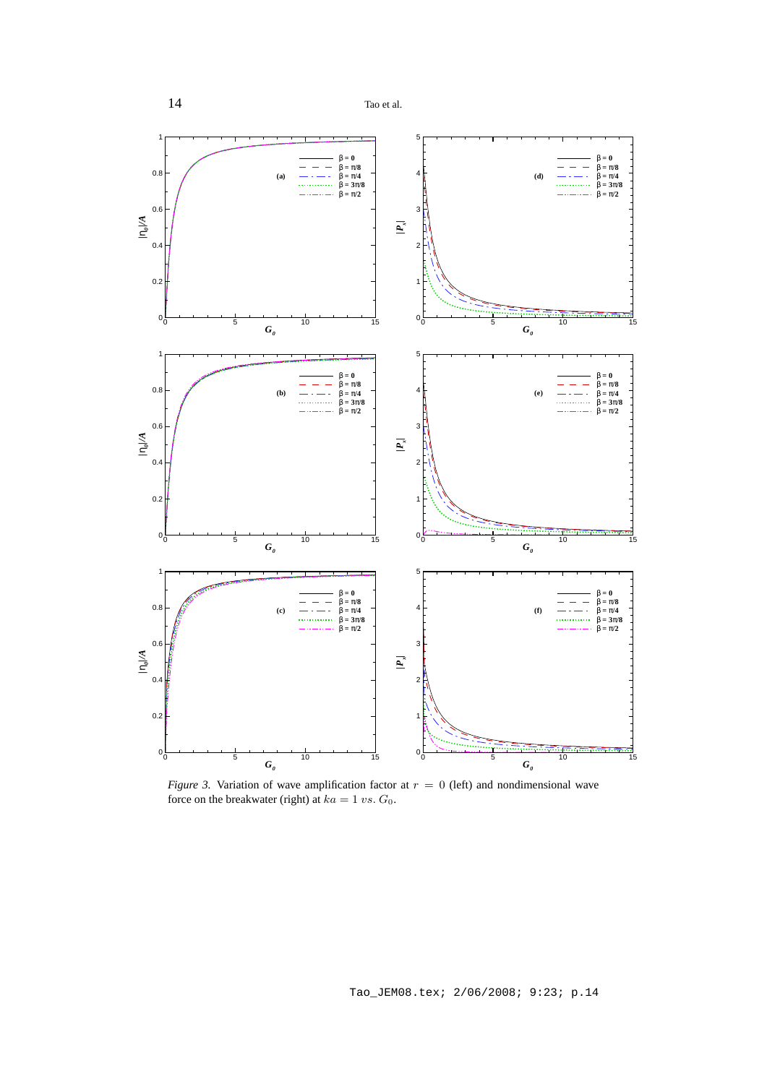

*Figure 3.* Variation of wave amplification factor at  $r = 0$  (left) and nondimensional wave force on the breakwater (right) at  $ka = 1 \ vs. \ G_0$ .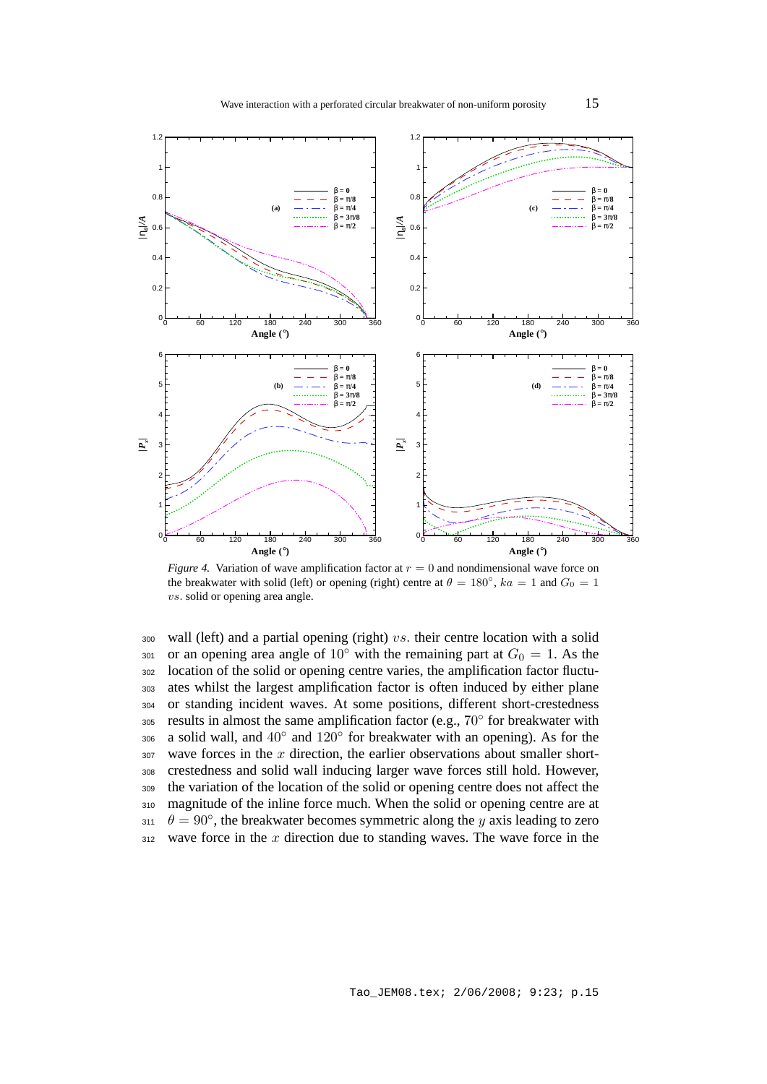

*Figure 4.* Variation of wave amplification factor at  $r = 0$  and nondimensional wave force on the breakwater with solid (left) or opening (right) centre at  $\theta = 180^\circ$ ,  $ka = 1$  and  $G_0 = 1$ vs. solid or opening area angle.

 wall (left) and a partial opening (right) vs. their centre location with a solid 301 or an opening area angle of 10 $^{\circ}$  with the remaining part at  $G_0 = 1$ . As the location of the solid or opening centre varies, the amplification factor fluctu- ates whilst the largest amplification factor is often induced by either plane or standing incident waves. At some positions, different short-crestedness results in almost the same amplification factor (e.g.,  $70^{\circ}$  for breakwater with 306 a solid wall, and  $40^\circ$  and  $120^\circ$  for breakwater with an opening). As for the wave forces in the x direction, the earlier observations about smaller short- crestedness and solid wall inducing larger wave forces still hold. However, the variation of the location of the solid or opening centre does not affect the magnitude of the inline force much. When the solid or opening centre are at  $\theta = 90^{\circ}$ , the breakwater becomes symmetric along the y axis leading to zero wave force in the x direction due to standing waves. The wave force in the

Tao\_JEM08.tex; 2/06/2008; 9:23; p.15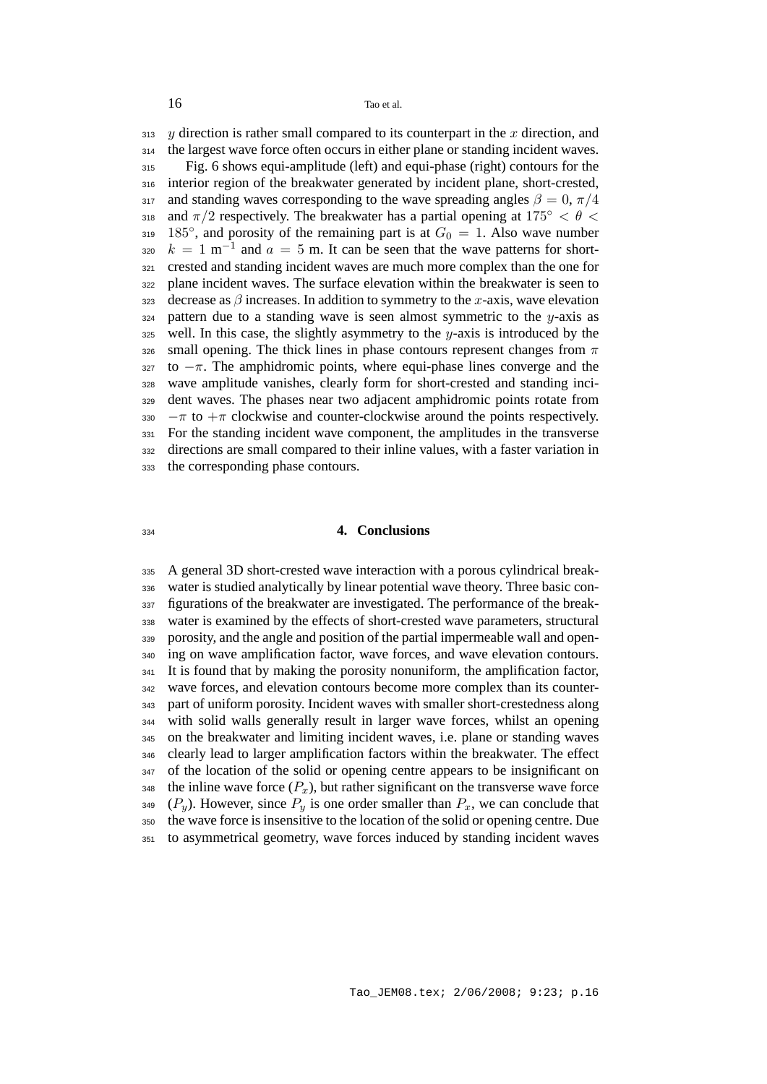y direction is rather small compared to its counterpart in the x direction, and the largest wave force often occurs in either plane or standing incident waves. Fig. 6 shows equi-amplitude (left) and equi-phase (right) contours for the interior region of the breakwater generated by incident plane, short-crested, 317 and standing waves corresponding to the wave spreading angles  $\beta = 0, \pi/4$ 318 and  $\pi/2$  respectively. The breakwater has a partial opening at 175<sup>°</sup>  $< \theta <$ 319 185<sup>°</sup>, and porosity of the remaining part is at  $G_0 = 1$ . Also wave number  $k = 1$  m<sup>-1</sup> and  $a = 5$  m. It can be seen that the wave patterns for short- crested and standing incident waves are much more complex than the one for plane incident waves. The surface elevation within the breakwater is seen to 323 decrease as  $\beta$  increases. In addition to symmetry to the x-axis, wave elevation pattern due to a standing wave is seen almost symmetric to the y-axis as well. In this case, the slightly asymmetry to the y-axis is introduced by the small opening. The thick lines in phase contours represent changes from  $\pi$  to  $-\pi$ . The amphidromic points, where equi-phase lines converge and the wave amplitude vanishes, clearly form for short-crested and standing inci- dent waves. The phases near two adjacent amphidromic points rotate from  $330 - \pi$  to  $+\pi$  clockwise and counter-clockwise around the points respectively. For the standing incident wave component, the amplitudes in the transverse directions are small compared to their inline values, with a faster variation in the corresponding phase contours.

## **4. Conclusions**

 A general 3D short-crested wave interaction with a porous cylindrical break- water is studied analytically by linear potential wave theory. Three basic con- figurations of the breakwater are investigated. The performance of the break- water is examined by the effects of short-crested wave parameters, structural porosity, and the angle and position of the partial impermeable wall and open- ing on wave amplification factor, wave forces, and wave elevation contours. It is found that by making the porosity nonuniform, the amplification factor, wave forces, and elevation contours become more complex than its counter- part of uniform porosity. Incident waves with smaller short-crestedness along with solid walls generally result in larger wave forces, whilst an opening on the breakwater and limiting incident waves, i.e. plane or standing waves clearly lead to larger amplification factors within the breakwater. The effect of the location of the solid or opening centre appears to be insignificant on the inline wave force  $(P_x)$ , but rather significant on the transverse wave force 349 ( $P_y$ ). However, since  $P_y$  is one order smaller than  $P_x$ , we can conclude that the wave force is insensitive to the location of the solid or opening centre. Due to asymmetrical geometry, wave forces induced by standing incident waves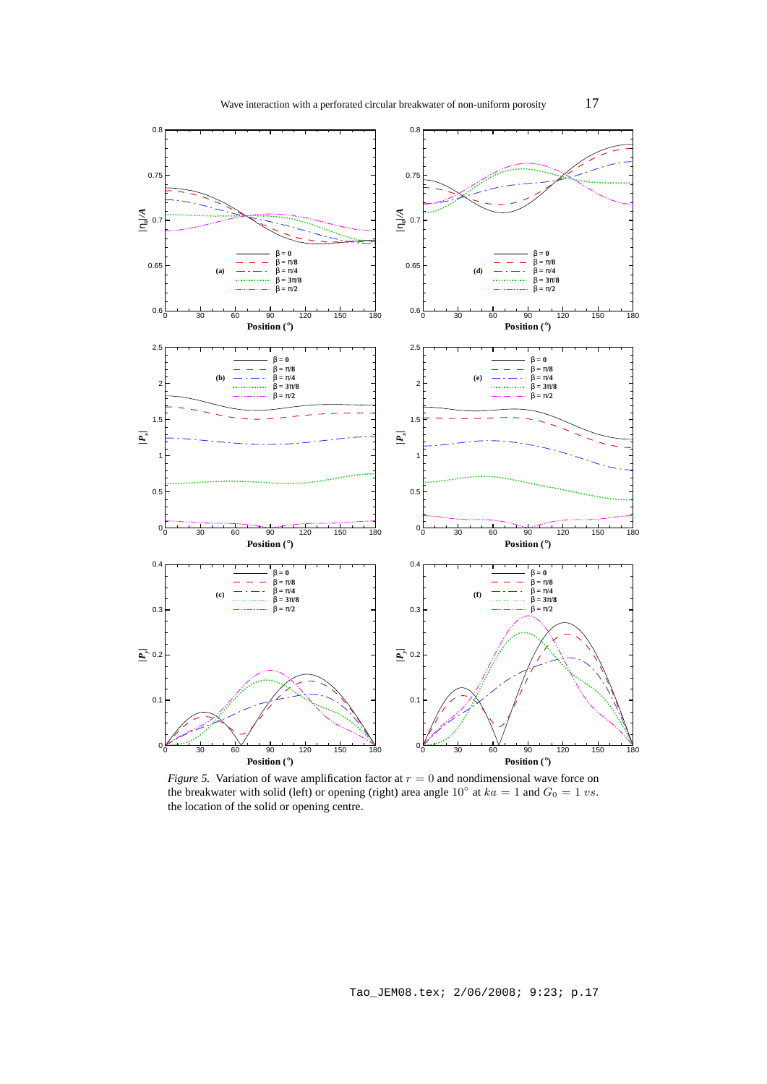

*Figure 5.* Variation of wave amplification factor at  $r = 0$  and nondimensional wave force on the breakwater with solid (left) or opening (right) area angle 10 $\degree$  at  $ka = 1$  and  $G_0 = 1$  vs. the location of the solid or opening centre.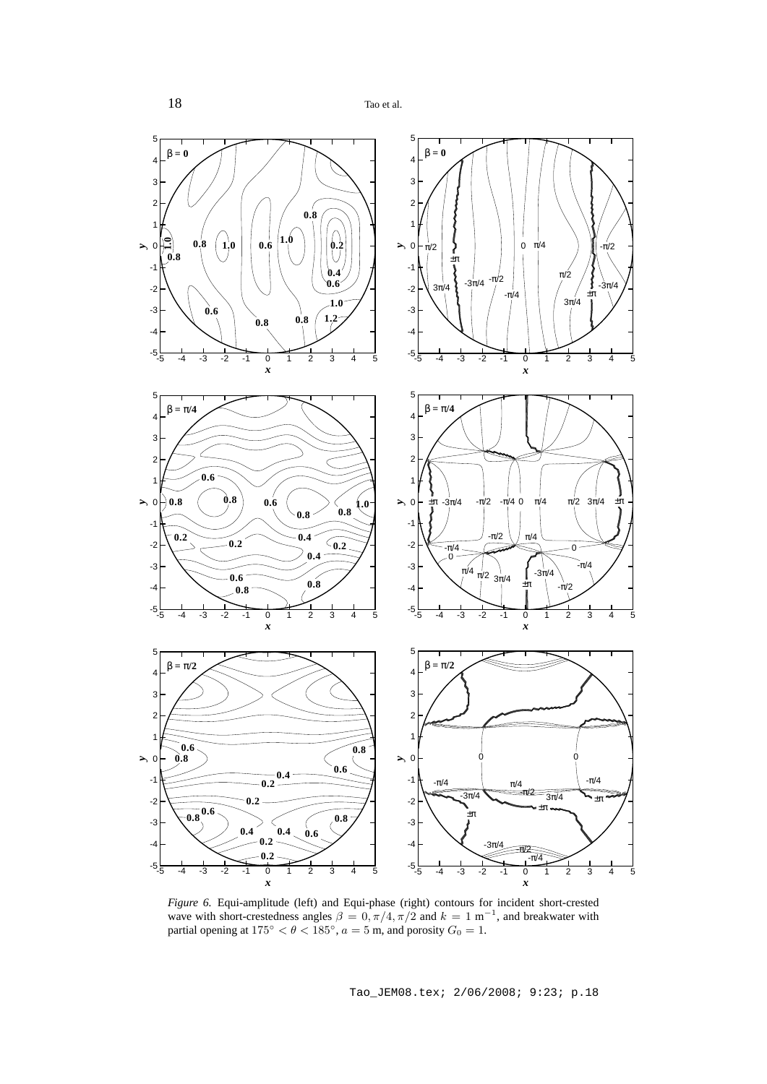

*Figure 6.* Equi-amplitude (left) and Equi-phase (right) contours for incident short-crested wave with short-crestedness angles  $\beta = 0, \pi/4, \pi/2$  and  $k = 1 \text{ m}^{-1}$ , and breakwater with partial opening at  $175^{\circ} < \theta < 185^{\circ}$ ,  $a = 5$  m, and porosity  $G_0 = 1$ .

Tao\_JEM08.tex; 2/06/2008; 9:23; p.18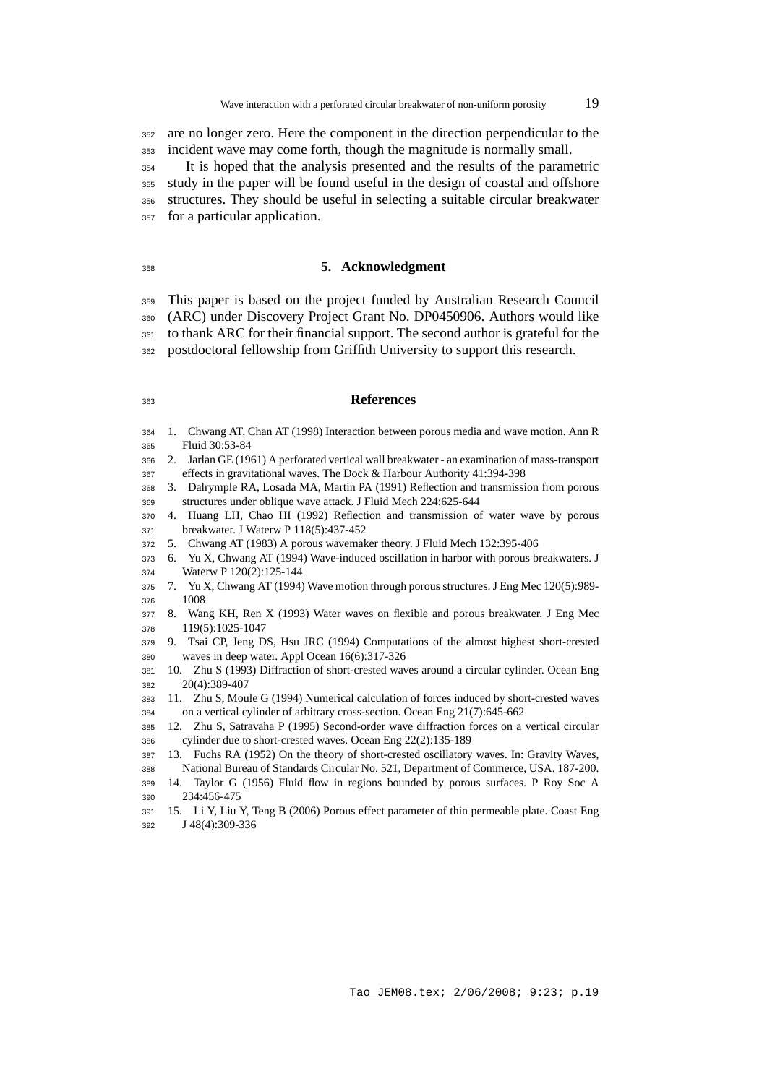are no longer zero. Here the component in the direction perpendicular to the incident wave may come forth, though the magnitude is normally small.

 It is hoped that the analysis presented and the results of the parametric study in the paper will be found useful in the design of coastal and offshore structures. They should be useful in selecting a suitable circular breakwater for a particular application.

## **5. Acknowledgment**

 This paper is based on the project funded by Australian Research Council (ARC) under Discovery Project Grant No. DP0450906. Authors would like to thank ARC for their financial support. The second author is grateful for the postdoctoral fellowship from Griffith University to support this research.

#### **References**

- 1. Chwang AT, Chan AT (1998) Interaction between porous media and wave motion. Ann R Fluid 30:53-84
- 2. Jarlan GE (1961) A perforated vertical wall breakwater an examination of mass-transport effects in gravitational waves. The Dock & Harbour Authority 41:394-398
- 3. Dalrymple RA, Losada MA, Martin PA (1991) Reflection and transmission from porous structures under oblique wave attack. J Fluid Mech 224:625-644
- 4. Huang LH, Chao HI (1992) Reflection and transmission of water wave by porous breakwater. J Waterw P 118(5):437-452
- 5. Chwang AT (1983) A porous wavemaker theory. J Fluid Mech 132:395-406
- 6. Yu X, Chwang AT (1994) Wave-induced oscillation in harbor with porous breakwaters. J Waterw P 120(2):125-144
- 7. Yu X, Chwang AT (1994) Wave motion through porous structures. J Eng Mec 120(5):989- 1008
- 8. Wang KH, Ren X (1993) Water waves on flexible and porous breakwater. J Eng Mec 119(5):1025-1047
- 9. Tsai CP, Jeng DS, Hsu JRC (1994) Computations of the almost highest short-crested waves in deep water. Appl Ocean 16(6):317-326
- 10. Zhu S (1993) Diffraction of short-crested waves around a circular cylinder. Ocean Eng 20(4):389-407
- 11. Zhu S, Moule G (1994) Numerical calculation of forces induced by short-crested waves on a vertical cylinder of arbitrary cross-section. Ocean Eng 21(7):645-662
- 12. Zhu S, Satravaha P (1995) Second-order wave diffraction forces on a vertical circular cylinder due to short-crested waves. Ocean Eng 22(2):135-189
- 13. Fuchs RA (1952) On the theory of short-crested oscillatory waves. In: Gravity Waves, National Bureau of Standards Circular No. 521, Department of Commerce, USA. 187-200.
- 14. Taylor G (1956) Fluid flow in regions bounded by porous surfaces. P Roy Soc A
- 234:456-475
- 15. Li Y, Liu Y, Teng B (2006) Porous effect parameter of thin permeable plate. Coast Eng J 48(4):309-336